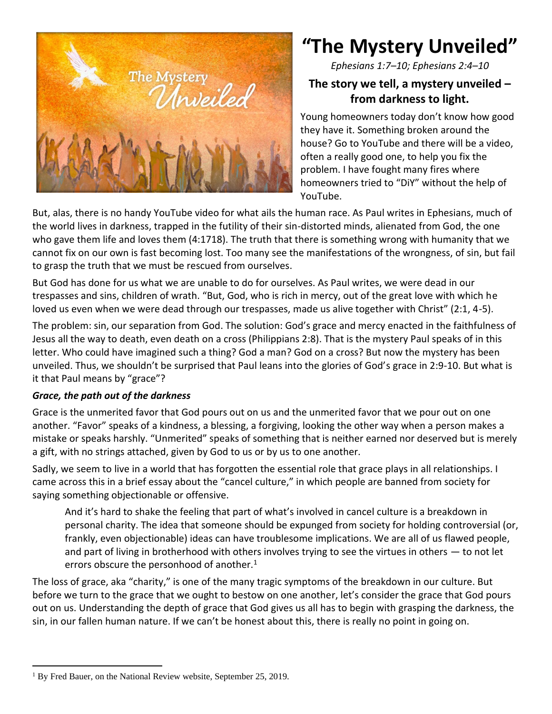

# **"The Mystery Unveiled"**

*Ephesians 1:7–10; Ephesians 2:4–10*

## **The story we tell, a mystery unveiled – from darkness to light.**

Young homeowners today don't know how good they have it. Something broken around the house? Go to YouTube and there will be a video, often a really good one, to help you fix the problem. I have fought many fires where homeowners tried to "DiY" without the help of YouTube.

But, alas, there is no handy YouTube video for what ails the human race. As Paul writes in Ephesians, much of the world lives in darkness, trapped in the futility of their sin-distorted minds, alienated from God, the one who gave them life and loves them (4:1718). The truth that there is something wrong with humanity that we cannot fix on our own is fast becoming lost. Too many see the manifestations of the wrongness, of sin, but fail to grasp the truth that we must be rescued from ourselves.

But God has done for us what we are unable to do for ourselves. As Paul writes, we were dead in our trespasses and sins, children of wrath. "But, God, who is rich in mercy, out of the great love with which he loved us even when we were dead through our trespasses, made us alive together with Christ" (2:1, 4-5).

The problem: sin, our separation from God. The solution: God's grace and mercy enacted in the faithfulness of Jesus all the way to death, even death on a cross (Philippians 2:8). That is the mystery Paul speaks of in this letter. Who could have imagined such a thing? God a man? God on a cross? But now the mystery has been unveiled. Thus, we shouldn't be surprised that Paul leans into the glories of God's grace in 2:9-10. But what is it that Paul means by "grace"?

#### *Grace, the path out of the darkness*

Grace is the unmerited favor that God pours out on us and the unmerited favor that we pour out on one another. "Favor" speaks of a kindness, a blessing, a forgiving, looking the other way when a person makes a mistake or speaks harshly. "Unmerited" speaks of something that is neither earned nor deserved but is merely a gift, with no strings attached, given by God to us or by us to one another.

Sadly, we seem to live in a world that has forgotten the essential role that grace plays in all relationships. I came across this in a brief essay about the "cancel culture," in which people are banned from society for saying something objectionable or offensive.

And it's hard to shake the feeling that part of what's involved in cancel culture is a breakdown in personal charity. The idea that someone should be expunged from society for holding controversial (or, frankly, even objectionable) ideas can have troublesome implications. We are all of us flawed people, and part of living in brotherhood with others involves trying to see the virtues in others — to not let errors obscure the personhood of another.<sup>1</sup>

The loss of grace, aka "charity," is one of the many tragic symptoms of the breakdown in our culture. But before we turn to the grace that we ought to bestow on one another, let's consider the grace that God pours out on us. Understanding the depth of grace that God gives us all has to begin with grasping the darkness, the sin, in our fallen human nature. If we can't be honest about this, there is really no point in going on.

<sup>&</sup>lt;sup>1</sup> By Fred Bauer, on the National Review website, September 25, 2019.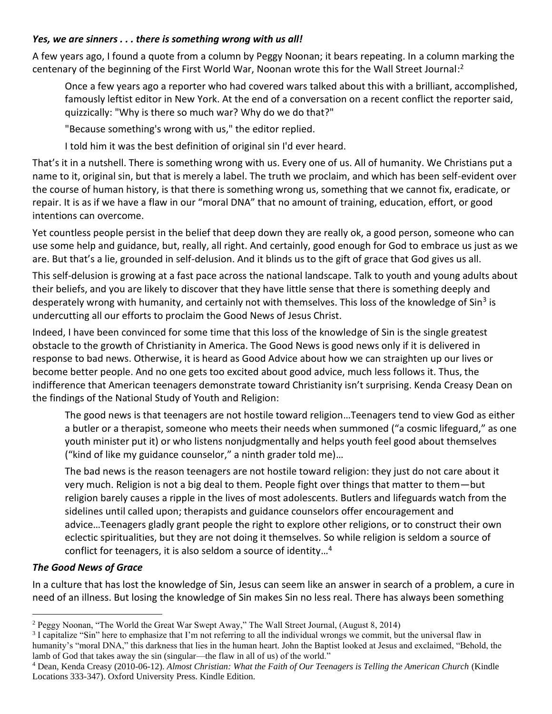#### *Yes, we are sinners . . . there is something wrong with us all!*

A few years ago, I found a quote from a column by Peggy Noonan; it bears repeating. In a column marking the centenary of the beginning of the First World War, Noonan wrote this for the Wall Street Journal:<sup>2</sup>

Once a few years ago a reporter who had covered wars talked about this with a brilliant, accomplished, famously leftist editor in New York. At the end of a conversation on a recent conflict the reporter said, quizzically: "Why is there so much war? Why do we do that?"

"Because something's wrong with us," the editor replied.

I told him it was the best definition of original sin I'd ever heard.

That's it in a nutshell. There is something wrong with us. Every one of us. All of humanity. We Christians put a name to it, original sin, but that is merely a label. The truth we proclaim, and which has been self-evident over the course of human history, is that there is something wrong us, something that we cannot fix, eradicate, or repair. It is as if we have a flaw in our "moral DNA" that no amount of training, education, effort, or good intentions can overcome.

Yet countless people persist in the belief that deep down they are really ok, a good person, someone who can use some help and guidance, but, really, all right. And certainly, good enough for God to embrace us just as we are. But that's a lie, grounded in self-delusion. And it blinds us to the gift of grace that God gives us all.

This self-delusion is growing at a fast pace across the national landscape. Talk to youth and young adults about their beliefs, and you are likely to discover that they have little sense that there is something deeply and desperately wrong with humanity, and certainly not with themselves. This loss of the knowledge of Sin<sup>3</sup> is undercutting all our efforts to proclaim the Good News of Jesus Christ.

Indeed, I have been convinced for some time that this loss of the knowledge of Sin is the single greatest obstacle to the growth of Christianity in America. The Good News is good news only if it is delivered in response to bad news. Otherwise, it is heard as Good Advice about how we can straighten up our lives or become better people. And no one gets too excited about good advice, much less follows it. Thus, the indifference that American teenagers demonstrate toward Christianity isn't surprising. Kenda Creasy Dean on the findings of the National Study of Youth and Religion:

The good news is that teenagers are not hostile toward religion…Teenagers tend to view God as either a butler or a therapist, someone who meets their needs when summoned ("a cosmic lifeguard," as one youth minister put it) or who listens nonjudgmentally and helps youth feel good about themselves ("kind of like my guidance counselor," a ninth grader told me)…

The bad news is the reason teenagers are not hostile toward religion: they just do not care about it very much. Religion is not a big deal to them. People fight over things that matter to them—but religion barely causes a ripple in the lives of most adolescents. Butlers and lifeguards watch from the sidelines until called upon; therapists and guidance counselors offer encouragement and advice…Teenagers gladly grant people the right to explore other religions, or to construct their own eclectic spiritualities, but they are not doing it themselves. So while religion is seldom a source of conflict for teenagers, it is also seldom a source of identity…<sup>4</sup>

### *The Good News of Grace*

In a culture that has lost the knowledge of Sin, Jesus can seem like an answer in search of a problem, a cure in need of an illness. But losing the knowledge of Sin makes Sin no less real. There has always been something

<sup>2</sup> Peggy Noonan, "The World the Great War Swept Away," The Wall Street Journal, (August 8, 2014)

<sup>&</sup>lt;sup>3</sup> I capitalize "Sin" here to emphasize that I'm not referring to all the individual wrongs we commit, but the universal flaw in humanity's "moral DNA," this darkness that lies in the human heart. John the Baptist looked at Jesus and exclaimed, "Behold, the lamb of God that takes away the sin (singular—the flaw in all of us) of the world."

<sup>4</sup> Dean, Kenda Creasy (2010-06-12). *Almost Christian: What the Faith of Our Teenagers is Telling the American Church* (Kindle Locations 333-347). Oxford University Press. Kindle Edition.